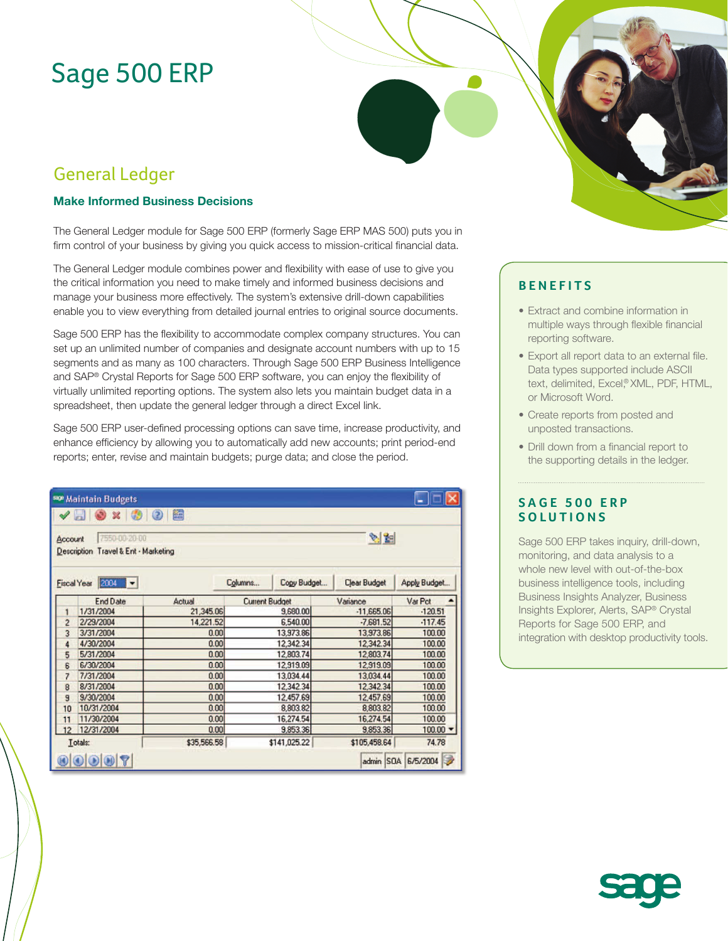# Sage 500 ERP

# General Ledger

### **Make Informed Business Decisions**

The General Ledger module for Sage 500 ERP (formerly Sage ERP MAS 500) puts you in firm control of your business by giving you quick access to mission-critical financial data.

The General Ledger module combines power and flexibility with ease of use to give you the critical information you need to make timely and informed business decisions and manage your business more effectively. The system's extensive drill-down capabilities enable you to view everything from detailed journal entries to original source documents.

Sage 500 ERP has the flexibility to accommodate complex company structures. You can set up an unlimited number of companies and designate account numbers with up to 15 segments and as many as 100 characters. Through Sage 500 ERP Business Intelligence and SAP® Crystal Reports for Sage 500 ERP software, you can enjoy the flexibility of virtually unlimited reporting options. The system also lets you maintain budget data in a spreadsheet, then update the general ledger through a direct Excel link.

Sage 500 ERP user-defined processing options can save time, increase productivity, and enhance efficiency by allowing you to automatically add new accounts; print period-end reports; enter, revise and maintain budgets; purge data; and close the period.

| Account                    | $\bigcirc$ $\bigcirc$<br>$\sqrt{2}$<br>$\mathbb{R}$<br>7550-00-20-00<br>Travel & Ent - Marketing<br><b>Description</b> | 饂           |                        |              | 科室                  |              |
|----------------------------|------------------------------------------------------------------------------------------------------------------------|-------------|------------------------|--------------|---------------------|--------------|
| 2004<br><b>Fiscal Year</b> |                                                                                                                        |             | Columns<br>Copy Budget |              | <b>Clear Budget</b> | Apply Budget |
|                            | <b>End Date</b>                                                                                                        | Actual      | <b>Current Budget</b>  |              | Variance            | Var Pct      |
| 1                          | 1/31/2004                                                                                                              | 21,345.06   |                        | 9,680.00     | $-11,665.06$        | $-120.51$    |
| $\overline{c}$             | 2/29/2004                                                                                                              | 14,221.52   |                        | 6,540.00     | $-7681.52$          | $-117.45$    |
| 3                          | 3/31/2004                                                                                                              | 0.00        |                        | 13,973.86    | 13,973.86           | 100.00       |
| 4                          | 4/30/2004                                                                                                              | 0.00        |                        | 12,342.34    | 12,342.34           | 100.00       |
| 5                          | 5/31/2004                                                                                                              | 0.00        |                        | 12,803.74    | 12,803.74           | 100.00       |
| 6                          | 6/30/2004                                                                                                              | 0.00        |                        | 12,919.09    | 12,919.09           | 100.00       |
| $\overline{7}$             | 7/31/2004                                                                                                              | 0.00        |                        | 13,034.44    | 13,034.44           | 100.00       |
| 8                          | 8/31/2004                                                                                                              | 0.00        |                        | 12,342.34    | 12,342.34           | 100.00       |
| 9                          | 9/30/2004                                                                                                              | 0.00        |                        | 12,457.69    | 12,457.69           | 100.00       |
| 10                         | 10/31/2004                                                                                                             | 0.00        |                        | 8,803.82     | 8,803.82            | 100.00       |
| 11                         | 11/30/2004                                                                                                             | 0.00        |                        | 16,274.54    | 16,274.54           | 100.00       |
| 12                         | 12/31/2004                                                                                                             | 0.00        |                        | 9,853.36     | 9,853.36            | 100.00       |
| Totals:                    |                                                                                                                        | \$35,566.58 |                        | \$141,025.22 | \$105,458.64        | 74.78        |

## **BENEFITS**

- Extract and combine information in multiple ways through flexible financial reporting software.
- Export all report data to an external file. Data types supported include ASCII text, delimited, Excel,® XML, PDF, HTML, or Microsoft Word.
- Create reports from posted and unposted transactions.
- Drill down from a financial report to the supporting details in the ledger.

### **SAGE 500 ERP SOLUTIONS**

Sage 500 ERP takes inquiry, drill-down, monitoring, and data analysis to a whole new level with out-of-the-box business intelligence tools, including Business Insights Analyzer, Business Insights Explorer, Alerts, SAP® Crystal Reports for Sage 500 ERP, and integration with desktop productivity tools.